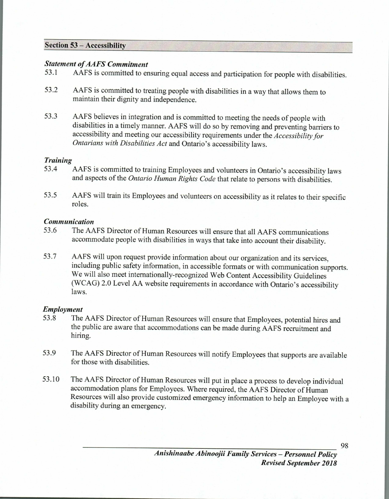#### **Section 53 — Accessibility**

#### *Statement of AAFS Commitment*

- 53.1 AAFS is committed to ensuring equal access and participation for people with disabilities.
- 53.2 AAFS is committed to treating people with disabilities in a way that allows them to maintain their dignity and independence.
- 53.3 AAFS believes in integration and is committed to meeting the needs of people with disabilities in a timely manner. AAFS will do so by removing and preventing barriers to accessibility and meeting our accessibility requirements under the *Accessibility for Ontarians with Disabilities Act* and Ontario's accessibility laws.

## *Training*

- 53.4 AAFS is committed to training Employees and volunteers in Ontario's accessibility laws and aspects of the *Ontario Human Rights Code* that relate to persons with disabilities.
- 53.5 AAFS will train its Employees and volunteers on accessibility as it relates to their specific roles.

## *Communication*

- 53.6 The AAFS Director of Human Resources will ensure that all AAFS communications accommodate people with disabilities in ways that take into account their disability.
- 53.7 AAFS will upon request provide information about our organization and its services, including public safety information, in accessible formats or with communication supports. We will also meet internationally-recognized Web Content Accessibility Guidelines (WCAG) 2.0 Level AA website requirements in accordance with Ontario's accessibility laws.

# *Employment*

- 53.8 The AAFS Director of Human Resources will ensure that Employees, potential hires and the public are aware that accommodations can be made during AAFS recruitment and hiring.
- 53.9 The AAFS Director of Human Resources will notify Employees that supports are available for those with disabilities.
- 53.10 The AAFS Director of Human Resources will put in place a process to develop individual accommodation plans for Employees. Where required, the AAFS Director of Human Resources will also provide customized emergency information to help an Employee with a disability during an emergency.